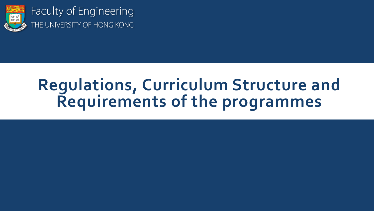

Faculty of Engineering THE UNIVERSITY OF HONG KONG

# **Regulations, Curriculum Structure and Requirements of the programmes**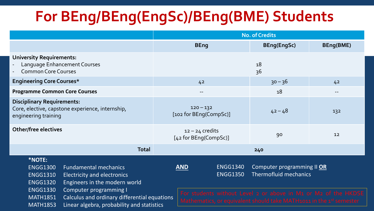## **For BEng/BEng(EngSc)/BEng(BME) Students**

| <b>No. of Credits</b>                                                                            |                                            |                                                                                                                                                                                                     |
|--------------------------------------------------------------------------------------------------|--------------------------------------------|-----------------------------------------------------------------------------------------------------------------------------------------------------------------------------------------------------|
| <b>BEng</b>                                                                                      | <b>BEng(EngSc)</b>                         | BEng(BME)                                                                                                                                                                                           |
|                                                                                                  | 18<br>36                                   |                                                                                                                                                                                                     |
| 4 <sup>2</sup>                                                                                   | $30 - 36$                                  | 42                                                                                                                                                                                                  |
| $\hspace{0.05cm}$ – $\hspace{0.05cm}$                                                            | 18                                         | $- -$                                                                                                                                                                                               |
| $120 - 132$<br>[102 for BEng(CompSc)]                                                            | $42 - 48$                                  | 132                                                                                                                                                                                                 |
| $12 - 24$ credits<br>[42 for BEng(CompSc)]                                                       | 90                                         | 12                                                                                                                                                                                                  |
| <b>Total</b>                                                                                     | 240                                        |                                                                                                                                                                                                     |
| <b>ENGG1340</b><br><b>AND</b><br><b>ENGG1350</b><br>Calculus and ordinary differential equations |                                            |                                                                                                                                                                                                     |
|                                                                                                  | Linear algebra, probability and statistics | Computer programming II OR<br><b>Thermofluid mechanics</b><br>For students without Level 2 or above in M1 or M2 of the HKDSE<br>Mathematics, or equivalent should take MATH1011 in the 1st semester |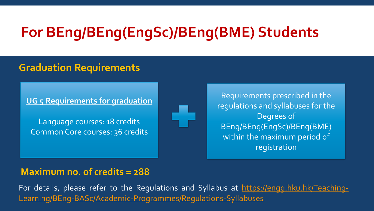## **For BEng/BEng(EngSc)/BEng(BME) Students**

#### **Graduation Requirements**

**UG 5 Requirements for graduation**

Language courses: 18 credits Common Core courses: 36 credits



Requirements prescribed in the regulations and syllabuses for the Degrees of BEng/BEng(EngSc)/BEng(BME) within the maximum period of registration

#### **Maximum no. of credits = 288**

For details, please refer to the Regulations and Syllabus at https://engg.hku.hk/Teaching-[Learning/BEng-BASc/Academic-Programmes/Regulations-Syllabuses](https://engg.hku.hk/Teaching-Learning/BEng-BASc/Academic-Programmes/Regulations-Syllabuses)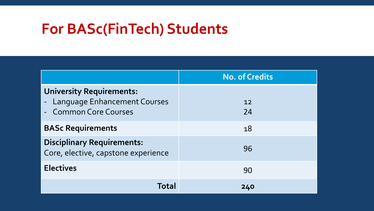### **For BASc(FinTech) Students**

|                                                                                            | <b>No. of Credits</b> |
|--------------------------------------------------------------------------------------------|-----------------------|
| <b>University Requirements:</b><br>- Language Enhancement Courses<br>- Common Core Courses | 12<br>24              |
| <b>BASc Requirements</b>                                                                   | 18                    |
| <b>Disciplinary Requirements:</b><br>Core, elective, capstone experience                   | 96                    |
| <b>Electives</b>                                                                           | 90                    |
| Total                                                                                      | 240                   |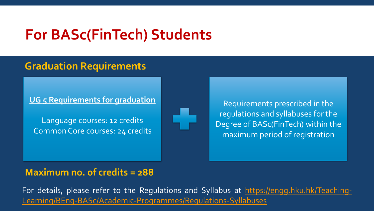#### **For BASc(FinTech) Students**

#### **Graduation Requirements**

**UG 5 Requirements for graduation**

Language courses: 12 credits Common Core courses: 24 credits



Requirements prescribed in the regulations and syllabuses for the Degree of BASc(FinTech) within the maximum period of registration

#### **Maximum no. of credits = 288**

For details, please refer to the Regulations and Syllabus at https://engg.hku.hk/Teaching-[Learning/BEng-BASc/Academic-Programmes/Regulations-Syllabuses](https://engg.hku.hk/Teaching-Learning/BEng-BASc/Academic-Programmes/Regulations-Syllabuses)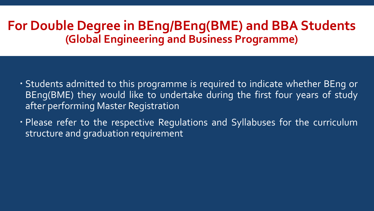#### **For Double Degree in BEng/BEng(BME) and BBA Students (Global Engineering and Business Programme)**

- Students admitted to this programme is required to indicate whether BEng or BEng(BME) they would like to undertake during the first four years of study after performing Master Registration
- Please refer to the respective Regulations and Syllabuses for the curriculum structure and graduation requirement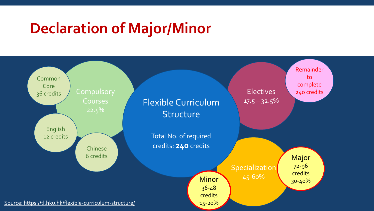### **Declaration of Major/Minor**

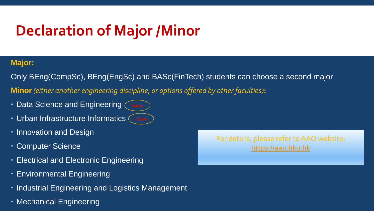# **Declaration of Major /Minor**

#### **Major:**

Only BEng(CompSc), BEng(EngSc) and BASc(FinTech) students can choose a second major **Minor***(either another engineering discipline, or options offered by other faculties)***:**

- Data Science and Engineering
- Urban Infrastructure Informatics
- **· Innovation and Design**
- Computer Science
- Electrical and Electronic Engineering
- Environmental Engineering
- $\cdot$  Industrial Engineering and Logistics Management
- Mechanical Engineering

For details, please refer to AAO website: [https://aao.hku.hk](http://aao.hku.hk/)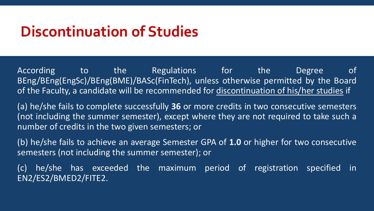#### **Discontinuation of Studies**

According to the Regulations for the Degree of BEng/BEng(EngSc)/BEng(BME)/BASc(FinTech), unless otherwise permitted by the Board of the Faculty, a candidate will be recommended for discontinuation of his/her studies if

(a) he/she fails to complete successfully **36** or more credits in two consecutive semesters (not including the summer semester), except where they are not required to take such a number of credits in the two given semesters; or

(b) he/she fails to achieve an average Semester GPA of **1.0** or higher for two consecutive semesters (not including the summer semester); or

(c) he/she has exceeded the maximum period of registration specified in EN2/ES2/BMED2/FITE2.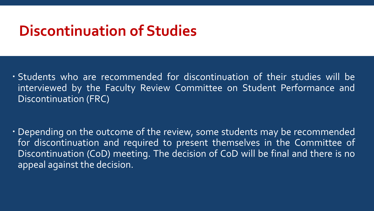#### **Discontinuation of Studies**

 Students who are recommended for discontinuation of their studies will be interviewed by the Faculty Review Committee on Student Performance and Discontinuation (FRC)

 Depending on the outcome of the review, some students may be recommended for discontinuation and required to present themselves in the Committee of Discontinuation (CoD) meeting. The decision of CoD will be final and there is no appeal against the decision.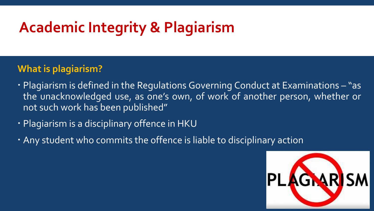# **Academic Integrity & Plagiarism**

#### **What is plagiarism?**

- Plagiarism is defined in the Regulations Governing Conduct at Examinations "as the unacknowledged use, as one's own, of work of another person, whether or not such work has been published"
- Plagiarism is a disciplinary offence in HKU
- Any student who commits the offence is liable to disciplinary action

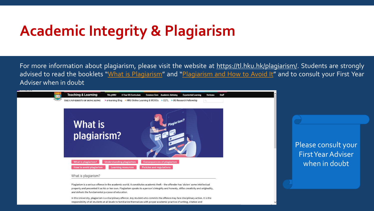### **Academic Integrity & Plagiarism**

For more information about plagiarism, please visit the website at [https://tl.hku.hk/plagiarism/.](https://tl.hku.hk/plagiarism/) Students are strongly advised to read the booklets "What is [Plagiarism](http://www4.caes.hku.hk/plagiarism/)" and "Plagiarism and How to Avoid It" and to consult your First Year Adviser when in doubt



Plagiarism is a serious offence in the academic world. It constitutes academic theft - the offender has 'stolen' some intellectual property and presented it as his or her own. Plagiarism speaks to a person's integrity and honesty, stifles creativity and originality, and defeats the fundamental purpose of education.

In this University, plagiarism is a disciplinary offence. Any student who commits the offence may face disciplinary action. It is the responsibility of all students at all levels to familiarize themselves with proper academic practice of writing, citation and

Please consult your First Year Adviser when in doubt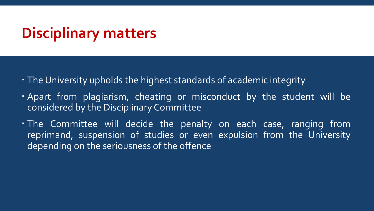#### **Disciplinary matters**

- The University upholds the highest standards of academic integrity
- . Apart from plagiarism, cheating or misconduct by the student will be considered by the Disciplinary Committee
- The Committee will decide the penalty on each case, ranging from reprimand, suspension of studies or even expulsion from the University depending on the seriousness of the offence